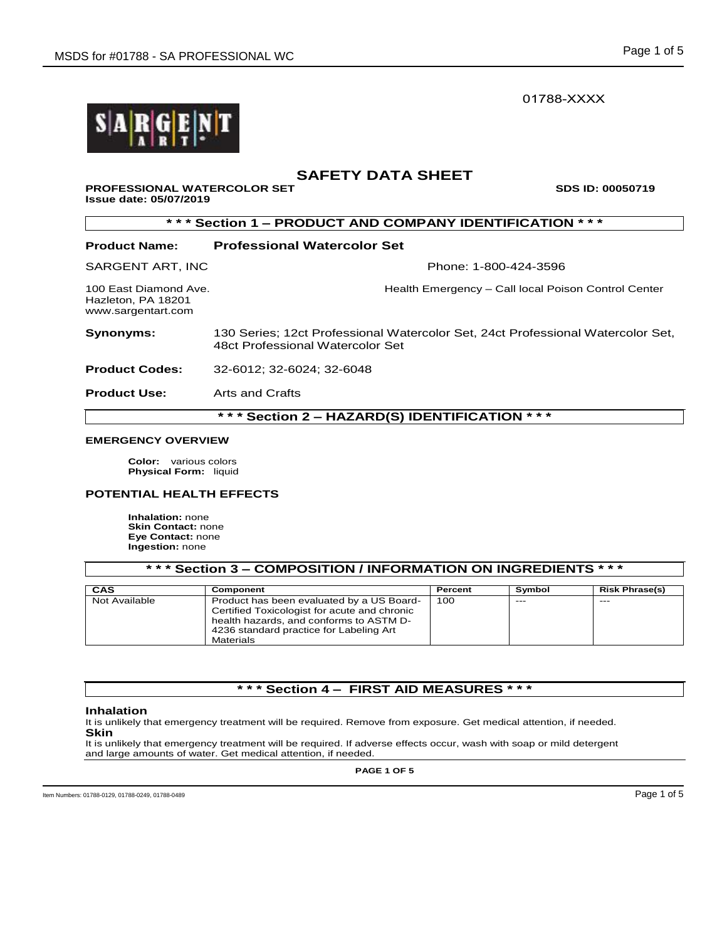01788-XXXX

# **SAFETY DATA SHEET**

## **PROFESSIONAL WATERCOLOR SET SEX SOS ID: 00050719 Issue date: 05/07/2019**

**\* \* \* Section 1 – PRODUCT AND COMPANY IDENTIFICATION \* \* \* Product Name: Professional Watercolor Set**  SARGENT ART, INC **Phone: 1-800-424-3596** 100 East Diamond Ave. **Health Emergency – Call local Poison Control Center** Hazleton, PA 18201 www.sargentart.com **Synonyms:** 130 Series; 12ct Professional Watercolor Set, 24ct Professional Watercolor Set, 48ct Professional Watercolor Set **Product Codes:** 32-6012; 32-6024; 32-6048 **Product Use:** Arts and Crafts

## **EMERGENCY OVERVIEW**

**Color:** various colors **Physical Form:** liquid

## **POTENTIAL HEALTH EFFECTS**

**Inhalation:** none **Skin Contact:** none **Eye Contact:** none **Ingestion:** none

**\* \* \* Section 3 – COMPOSITION / INFORMATION ON INGREDIENTS \* \* \***

| CAS           | Component                                                                                                                                                                                    | Percent | Symbol | <b>Risk Phrase(s)</b> |
|---------------|----------------------------------------------------------------------------------------------------------------------------------------------------------------------------------------------|---------|--------|-----------------------|
| Not Available | Product has been evaluated by a US Board-<br>Certified Toxicologist for acute and chronic<br>health hazards, and conforms to ASTM D-<br>4236 standard practice for Labeling Art<br>Materials | 100     | $---$  | $- - -$               |

# **\* \* \* Section 4 – FIRST AID MEASURES \* \* \***

## **Inhalation**

It is unlikely that emergency treatment will be required. Remove from exposure. Get medical attention, if needed. **Skin** 

It is unlikely that emergency treatment will be required. If adverse effects occur, wash with soap or mild detergent and large amounts of water. Get medical attention, if needed.

**PAGE 1 OF 5**

**\* \* \* Section 2 – HAZARD(S) IDENTIFICATION \* \* \***

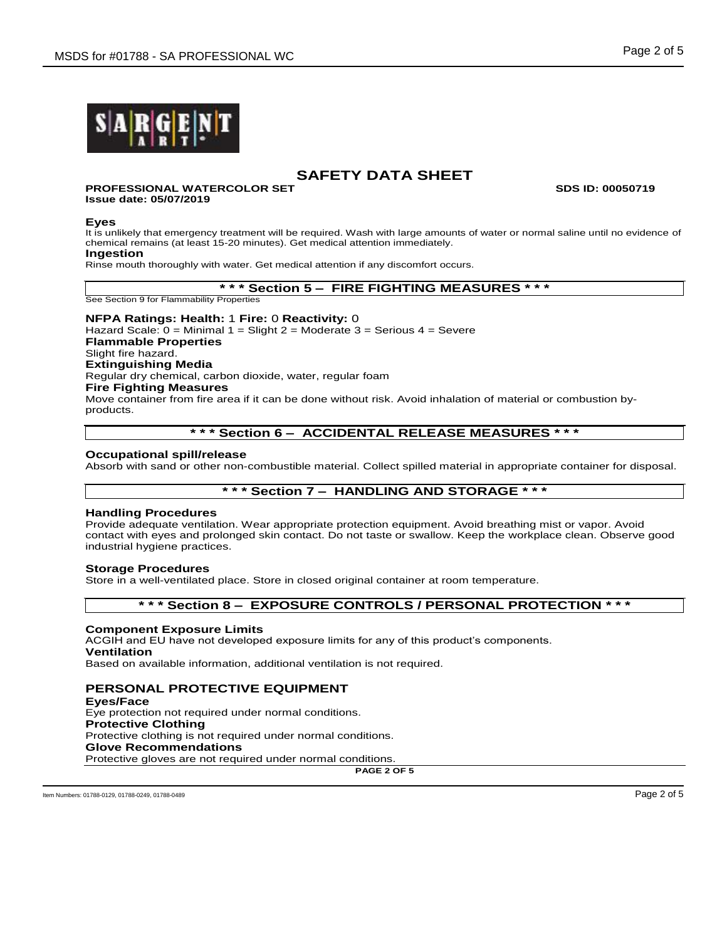

# **SAFETY DATA SHEET**

#### **PROFESSIONAL WATERCOLOR SET SDS ID: 00050719 Issue date: 05/07/2019**

#### **Eyes**

It is unlikely that emergency treatment will be required. Wash with large amounts of water or normal saline until no evidence of chemical remains (at least 15-20 minutes). Get medical attention immediately.

## **Ingestion**

Rinse mouth thoroughly with water. Get medical attention if any discomfort occurs.

**\* \* \* Section 5 – FIRE FIGHTING MEASURES \* \* \***

See Section 9 for Flammability Properties

## **NFPA Ratings: Health:** 1 **Fire:** 0 **Reactivity:** 0

Hazard Scale: 0 = Minimal 1 = Slight 2 = Moderate 3 = Serious 4 = Severe **Flammable Properties** Slight fire hazard. **Extinguishing Media** Regular dry chemical, carbon dioxide, water, regular foam **Fire Fighting Measures** Move container from fire area if it can be done without risk. Avoid inhalation of material or combustion by-

products.

# **\* \* \* Section 6 – ACCIDENTAL RELEASE MEASURES \* \* \***

## **Occupational spill/release**

Absorb with sand or other non-combustible material. Collect spilled material in appropriate container for disposal.

# **\* \* \* Section 7 – HANDLING AND STORAGE \* \* \***

## **Handling Procedures**

Provide adequate ventilation. Wear appropriate protection equipment. Avoid breathing mist or vapor. Avoid contact with eyes and prolonged skin contact. Do not taste or swallow. Keep the workplace clean. Observe good industrial hygiene practices.

## **Storage Procedures**

Store in a well-ventilated place. Store in closed original container at room temperature.

## **\* \* \* Section 8 – EXPOSURE CONTROLS / PERSONAL PROTECTION \* \* \***

#### **Component Exposure Limits**

ACGIH and EU have not developed exposure limits for any of this product's components. **Ventilation**

Based on available information, additional ventilation is not required.

# **PERSONAL PROTECTIVE EQUIPMENT**

**Eyes/Face** Eye protection not required under normal conditions. **Protective Clothing** Protective clothing is not required under normal conditions. **Glove Recommendations** Protective gloves are not required under normal conditions.

**PAGE 2 OF 5**

Item Numbers: 01788-0129, 01788-0249, 01788-0489 Page 2 of 5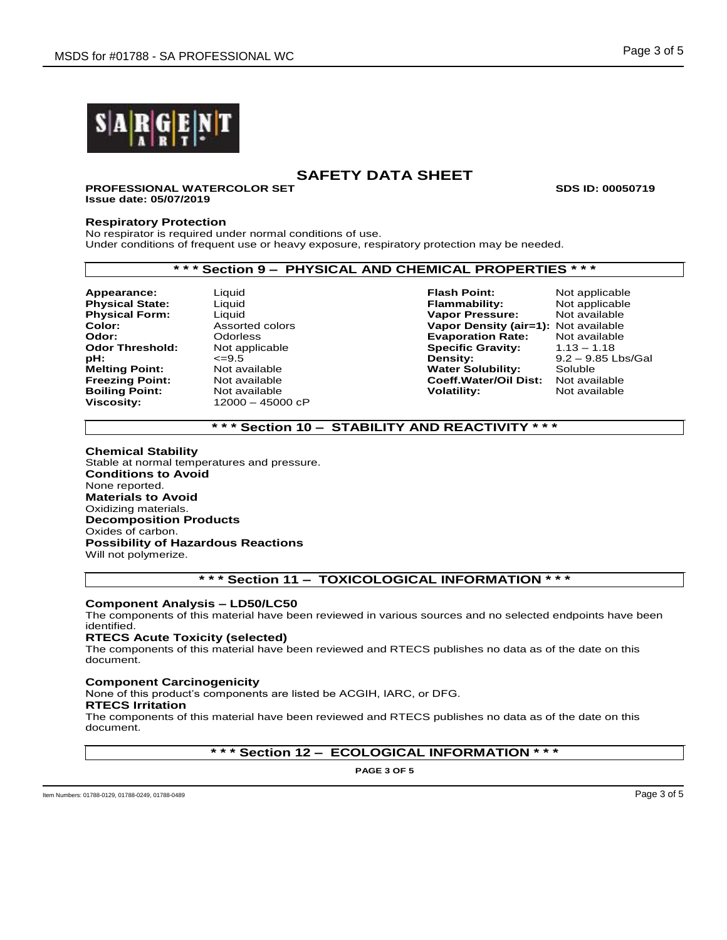

# **SAFETY DATA SHEET**

**PROFESSIONAL WATERCOLOR SET SDS ID: 00050719 Issue date: 05/07/2019**

## **Respiratory Protection**

No respirator is required under normal conditions of use. Under conditions of frequent use or heavy exposure, respiratory protection may be needed.

# **\* \* \* Section 9 – PHYSICAL AND CHEMICAL PROPERTIES \* \* \***

**Appearance:** Liquid **Flash Point:** Not applicable **Boiling Point:** 

**Viscosity:** 12000 – 45000 cP

**Physical State:** Liquid **Flammability:** Not applicable **Physical Form:** Liquid **Vapor Pressure:** Not available **Color:** Assorted colors **Vapor Density (air=1):** Not available **Odor:** Odorless **Evaporation Rate:** Not available **Specific Gravity:<br>Density: pH:**  $\leq$ =9.5 <br> **Pensity:** 9.2 – 9.85 Lbs/Gal<br> **Melting Point:** Not available **Communisty Contains Water Solubility:** Soluble **Melting Point:** Mot available **Noting Point:** Not available **Noting Point:** Not available **Reading Point:** Not available **Reading Point:** Not available **Reading Point:** Not available **Reading Point:** Not available **Readin Freezing Point:** Not available **Coeff.Water/Oil Dist:** Not available

# **\* \* \* Section 10 – STABILITY AND REACTIVITY \* \* \***

#### **Chemical Stability**

Stable at normal temperatures and pressure. **Conditions to Avoid** None reported. **Materials to Avoid** Oxidizing materials. **Decomposition Products** Oxides of carbon. **Possibility of Hazardous Reactions** Will not polymerize.

# **\* \* \* Section 11 – TOXICOLOGICAL INFORMATION \* \* \***

## **Component Analysis – LD50/LC50**

The components of this material have been reviewed in various sources and no selected endpoints have been identified.

## **RTECS Acute Toxicity (selected)**

The components of this material have been reviewed and RTECS publishes no data as of the date on this document.

## **Component Carcinogenicity**

None of this product's components are listed be ACGIH, IARC, or DFG.

#### **RTECS Irritation**

The components of this material have been reviewed and RTECS publishes no data as of the date on this document.

## **\* \* \* Section 12 – ECOLOGICAL INFORMATION \* \* \***

**PAGE 3 OF 5**

Item Numbers: 01788-0129, 01788-0249, 01788-0489 **Page 3 of 5** Page 3 of 5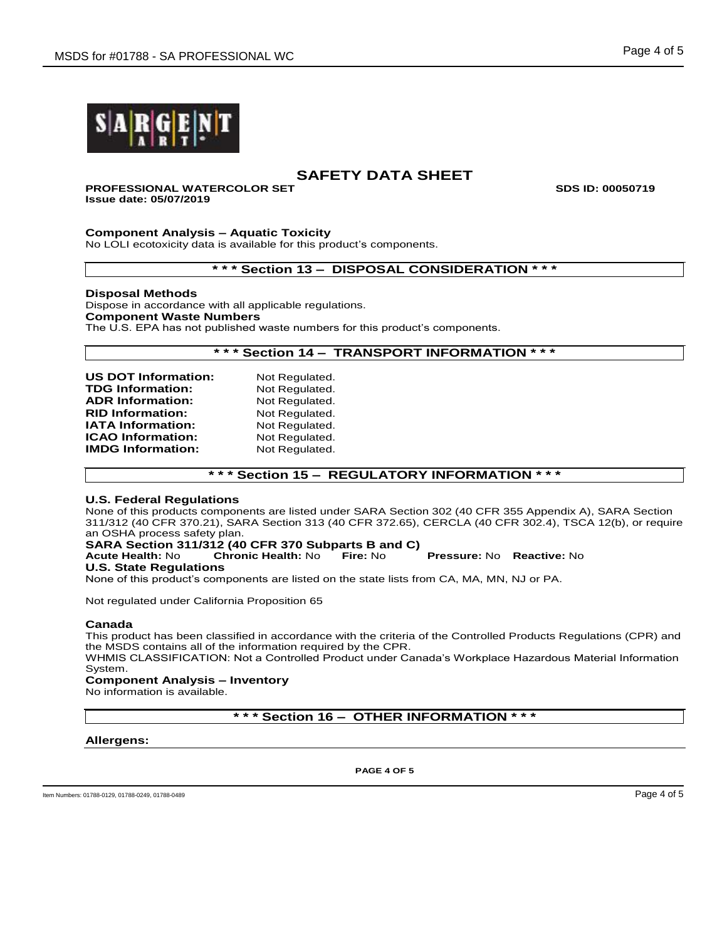

# **SAFETY DATA SHEET**

# **PROFESSIONAL WATERCOLOR SET SDS ID: 00050719**

**Issue date: 05/07/2019**

## **Component Analysis – Aquatic Toxicity**

No LOLI ecotoxicity data is available for this product's components.

**\* \* \* Section 13 – DISPOSAL CONSIDERATION \* \* \***

## **Disposal Methods**

Dispose in accordance with all applicable regulations. **Component Waste Numbers** The U.S. EPA has not published waste numbers for this product's components.

# **\* \* \* Section 14 – TRANSPORT INFORMATION \* \* \***

| <b>US DOT Information:</b> | Not Regulated. |
|----------------------------|----------------|
| <b>TDG Information:</b>    | Not Regulated. |
| <b>ADR Information:</b>    | Not Regulated. |
| <b>RID Information:</b>    | Not Regulated. |
| <b>IATA Information:</b>   | Not Regulated. |
| <b>ICAO Information:</b>   | Not Regulated. |
| <b>IMDG Information:</b>   | Not Regulated. |
|                            |                |

**\* \* \* Section 15 – REGULATORY INFORMATION \* \* \***

## **U.S. Federal Regulations**

None of this products components are listed under SARA Section 302 (40 CFR 355 Appendix A), SARA Section 311/312 (40 CFR 370.21), SARA Section 313 (40 CFR 372.65), CERCLA (40 CFR 302.4), TSCA 12(b), or require an OSHA process safety plan.

# **SARA Section 311/312 (40 CFR 370 Subparts B and C)**

**Acute Health:** No **Chronic Health:** No **Fire:** No **Pressure:** No **Reactive:** No

## **U.S. State Regulations**

None of this product's components are listed on the state lists from CA, MA, MN, NJ or PA.

Not regulated under California Proposition 65

## **Canada**

This product has been classified in accordance with the criteria of the Controlled Products Regulations (CPR) and the MSDS contains all of the information required by the CPR.

WHMIS CLASSIFICATION: Not a Controlled Product under Canada's Workplace Hazardous Material Information System.

# **Component Analysis – Inventory**

No information is available.

**\* \* \* Section 16 – OTHER INFORMATION \* \* \***

## **Allergens:**

**PAGE 4 OF 5**